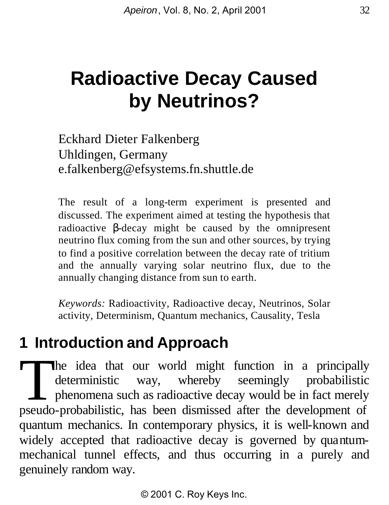# **Radioactive Decay Caused by Neutrinos?**

Eckhard Dieter Falkenberg Uhldingen, Germany e.falkenberg@efsystems.fn.shuttle.de

The result of a long-term experiment is presented and discussed. The experiment aimed at testing the hypothesis that radioactive *b*-decay might be caused by the omnipresent neutrino flux coming from the sun and other sources, by trying to find a positive correlation between the decay rate of tritium and the annually varying solar neutrino flux, due to the annually changing distance from sun to earth.

*Keywords:* Radioactivity, Radioactive decay, Neutrinos, Solar activity, Determinism, Quantum mechanics, Causality, Tesla

#### **1 Introduction and Approach**

The idea that our world might function in a principally<br>deterministic way, whereby seemingly probabilistic<br>phenomena such as radioactive decay would be in fact merely<br>pseudo-probabilistic has been dismissed after the devel deterministic way, whereby seemingly probabilistic phenomena such as radioactive decay would be in fact merely pseudo-probabilistic, has been dismissed after the development of quantum mechanics. In contemporary physics, it is well-known and widely accepted that radioactive decay is governed by quantummechanical tunnel effects, and thus occurring in a purely and genuinely random way.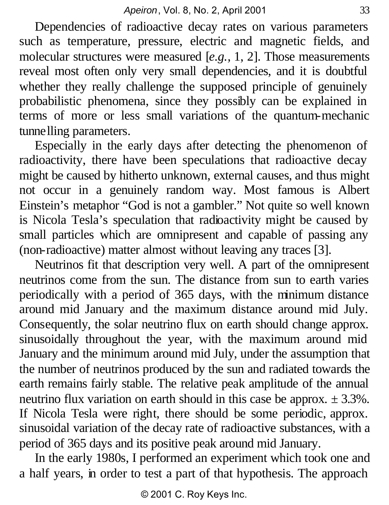Dependencies of radioactive decay rates on various parameters such as temperature, pressure, electric and magnetic fields, and molecular structures were measured [*e.g.,* 1, 2]. Those measurements reveal most often only very small dependencies, and it is doubtful whether they really challenge the supposed principle of genuinely probabilistic phenomena, since they possibly can be explained in terms of more or less small variations of the quantum-mechanic tunnelling parameters.

Especially in the early days after detecting the phenomenon of radioactivity, there have been speculations that radioactive decay might be caused by hitherto unknown, external causes, and thus might not occur in a genuinely random way. Most famous is Albert Einstein's metaphor "God is not a gambler." Not quite so well known is Nicola Tesla's speculation that radioactivity might be caused by small particles which are omnipresent and capable of passing any (non-radioactive) matter almost without leaving any traces [3].

Neutrinos fit that description very well. A part of the omnipresent neutrinos come from the sun. The distance from sun to earth varies periodically with a period of 365 days, with the minimum distance around mid January and the maximum distance around mid July. Consequently, the solar neutrino flux on earth should change approx. sinusoidally throughout the year, with the maximum around mid January and the minimum around mid July, under the assumption that the number of neutrinos produced by the sun and radiated towards the earth remains fairly stable. The relative peak amplitude of the annual neutrino flux variation on earth should in this case be approx.  $\pm 3.3\%$ . If Nicola Tesla were right, there should be some periodic, approx. sinusoidal variation of the decay rate of radioactive substances, with a period of 365 days and its positive peak around mid January.

In the early 1980s, I performed an experiment which took one and a half years, in order to test a part of that hypothesis. The approach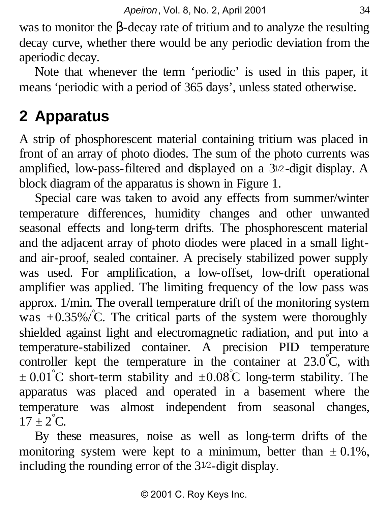was to monitor the β-decay rate of tritium and to analyze the resulting decay curve, whether there would be any periodic deviation from the aperiodic decay.

Note that whenever the term 'periodic' is used in this paper, it means 'periodic with a period of 365 days', unless stated otherwise.

### **2 Apparatus**

A strip of phosphorescent material containing tritium was placed in front of an array of photo diodes. The sum of the photo currents was amplified, low-pass-filtered and displayed on a 31/2-digit display. A block diagram of the apparatus is shown in Figure 1.

Special care was taken to avoid any effects from summer/winter temperature differences, humidity changes and other unwanted seasonal effects and long-term drifts. The phosphorescent material and the adjacent array of photo diodes were placed in a small lightand air-proof, sealed container. A precisely stabilized power supply was used. For amplification, a low-offset, low-drift operational amplifier was applied. The limiting frequency of the low pass was approx. 1/min. The overall temperature drift of the monitoring system was  $+0.35\%$  C. The critical parts of the system were thoroughly shielded against light and electromagnetic radiation, and put into a temperature-stabilized container. A precision PID temperature controller kept the temperature in the container at  $23.0^{\circ}$ C, with  $\pm 0.01^{\circ}$ C short-term stability and  $\pm 0.08^{\circ}$ C long-term stability. The apparatus was placed and operated in a basement where the temperature was almost independent from seasonal changes,  $17 \pm 2^{\circ}$ C.

By these measures, noise as well as long-term drifts of the monitoring system were kept to a minimum, better than  $\pm 0.1\%$ , including the rounding error of the 31/2-digit display.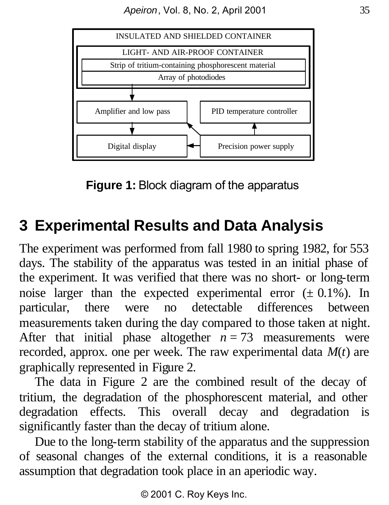

**Figure 1:** Block diagram of the apparatus

## **3 Experimental Results and Data Analysis**

The experiment was performed from fall 1980 to spring 1982, for 553 days. The stability of the apparatus was tested in an initial phase of the experiment. It was verified that there was no short- or long-term noise larger than the expected experimental error  $(\pm 0.1\%)$ . In particular, there were no detectable differences between measurements taken during the day compared to those taken at night. After that initial phase altogether  $n = 73$  measurements were recorded, approx. one per week. The raw experimental data *M*(*t*) are graphically represented in Figure 2.

The data in Figure 2 are the combined result of the decay of tritium, the degradation of the phosphorescent material, and other degradation effects. This overall decay and degradation is significantly faster than the decay of tritium alone.

Due to the long-term stability of the apparatus and the suppression of seasonal changes of the external conditions, it is a reasonable assumption that degradation took place in an aperiodic way.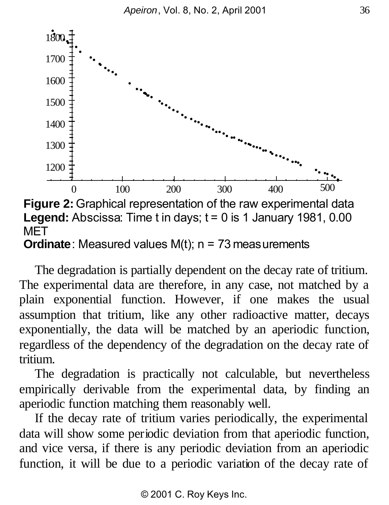

**Legend:** Abscissa: Time t in days; t = 0 is 1 January 1981, 0.00 MET **Ordinate**: Measured values  $M(t)$ ;  $n = 73$  measurements

The degradation is partially dependent on the decay rate of tritium. The experimental data are therefore, in any case, not matched by a plain exponential function. However, if one makes the usual assumption that tritium, like any other radioactive matter, decays exponentially, the data will be matched by an aperiodic function, regardless of the dependency of the degradation on the decay rate of tritium.

The degradation is practically not calculable, but nevertheless empirically derivable from the experimental data, by finding an aperiodic function matching them reasonably well.

If the decay rate of tritium varies periodically, the experimental data will show some periodic deviation from that aperiodic function, and vice versa, if there is any periodic deviation from an aperiodic function, it will be due to a periodic variation of the decay rate of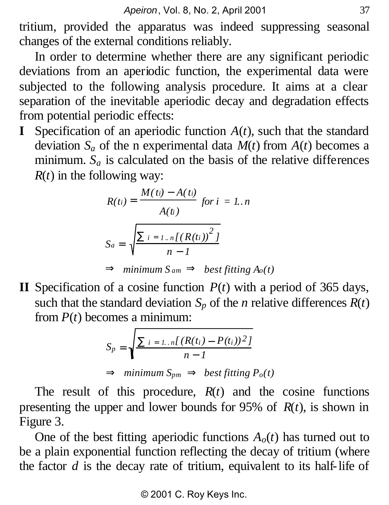tritium, provided the apparatus was indeed suppressing seasonal changes of the external conditions reliably.

In order to determine whether there are any significant periodic deviations from an aperiodic function, the experimental data were subjected to the following analysis procedure. It aims at a clear separation of the inevitable aperiodic decay and degradation effects from potential periodic effects:

**I** Specification of an aperiodic function  $A(t)$ , such that the standard deviation  $S_a$  of the n experimental data  $M(t)$  from  $A(t)$  becomes a minimum.  $S_a$  is calculated on the basis of the relative differences  $R(t)$  in the following way:

$$
R(t_i) = \frac{M(t_i) - A(t_i)}{A(t)}
$$
 for  $i = 1..n$   

$$
S_a = \sqrt{\frac{\dot{a}_{i} = I_{..n}[(R(t_i))^2]}{n-1}}
$$

***D*** minimum 
$$
S_{am}
$$
 ***D*** best fitting  $A_o(t)$ 

**II** Specification of a cosine function  $P(t)$  with a period of 365 days, such that the standard deviation  $S_p$  of the *n* relative differences  $R(t)$ from *P*(*t*) becomes a minimum:

$$
S_p = \sqrt{\frac{\dot{a}_{i=1..n}[(R(t_i) - P(t_i))^2]}{n-1}}
$$

 **minimum**  $S_{pm}$  **<b>***P best fitting P<sub>o</sub>*(*t*)

The result of this procedure, *R*(*t*) and the cosine functions presenting the upper and lower bounds for 95% of *R*(*t*), is shown in Figure 3.

One of the best fitting aperiodic functions  $A_o(t)$  has turned out to be a plain exponential function reflecting the decay of tritium (where the factor *d* is the decay rate of tritium, equivalent to its half-life of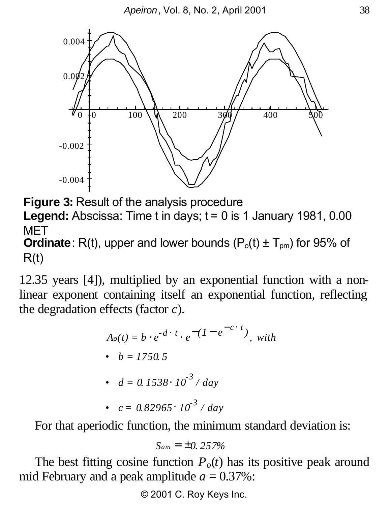

**Figure 3:** Result of the analysis procedure **Legend:** Abscissa: Time t in days; t = 0 is 1 January 1981, 0.00 MET

**Ordinate**: R(t), upper and lower bounds  $(P_0(t) \pm T_{\text{om}})$  for 95% of  $R(t)$ 

12.35 years [4]), multiplied by an exponential function with a nonlinear exponent containing itself an exponential function, reflecting the degradation effects (factor *c*).

$$
A_o(t) = b \times e^{-d \times t} \times e^{-\left(1 - e^{-c \times t}\right)}, \text{ with}
$$
  
• 
$$
b = 1750.5
$$

• 
$$
d = 0.1538 \times 10^{-3} / day
$$

• 
$$
c = 0.82965 \times 10^{-3} / day
$$

For that aperiodic function, the minimum standard deviation is:

$$
S_{am}=\pm 0.257\%
$$

The best fitting cosine function  $P_o(t)$  has its positive peak around mid February and a peak amplitude  $a = 0.37\%$ :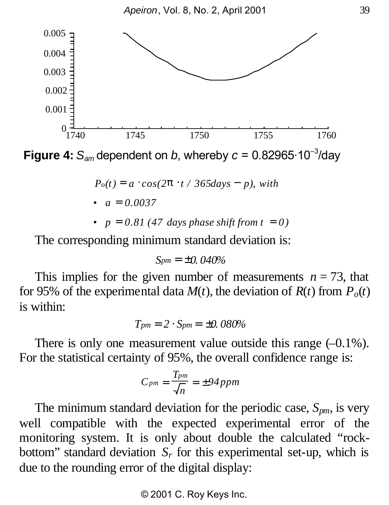

**Figure 4:**  $S_{am}$  dependent on *b*, whereby  $c = 0.82965 \cdot 10^{-3}$ /day

$$
P_o(t) = a \times \cos(2\mathbf{p} \times t / 365 \text{days} - p), \text{ with}
$$

$$
\bullet \quad a = 0.0037
$$

•  $p = 0.81$  (47 days phase shift from  $t = 0$ )

The corresponding minimum standard deviation is:

$$
S_{pm}=\pm 0.040\%
$$

This implies for the given number of measurements  $n = 73$ , that for 95% of the experimental data  $M(t)$ , the deviation of  $R(t)$  from  $P_o(t)$ is within:

$$
T_{pm} = 2 \times S_{pm} = \pm 0.080\%
$$

There is only one measurement value outside this range  $(-0.1\%)$ . For the statistical certainty of 95%, the overall confidence range is:

$$
C_{pm} = \frac{T_{pm}}{\sqrt{n}} = \pm 94 \, ppm
$$

The minimum standard deviation for the periodic case, *Spm*, is very well compatible with the expected experimental error of the monitoring system. It is only about double the calculated "rockbottom" standard deviation  $S_r$  for this experimental set-up, which is due to the rounding error of the digital display: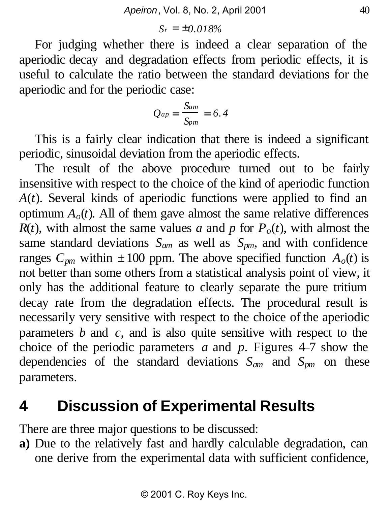$$
S_r=\pm 0.018\%
$$

For judging whether there is indeed a clear separation of the aperiodic decay and degradation effects from periodic effects, it is useful to calculate the ratio between the standard deviations for the aperiodic and for the periodic case:

$$
Q_{ap} = \frac{S_{am}}{S_{pm}} = 6.4
$$

This is a fairly clear indication that there is indeed a significant periodic, sinusoidal deviation from the aperiodic effects.

The result of the above procedure turned out to be fairly insensitive with respect to the choice of the kind of aperiodic function *A*(*t*). Several kinds of aperiodic functions were applied to find an optimum  $A_0(t)$ . All of them gave almost the same relative differences  $R(t)$ , with almost the same values *a* and *p* for  $P_o(t)$ , with almost the same standard deviations  $S_{am}$  as well as  $S_{pm}$ , and with confidence ranges  $C_{pm}$  within  $\pm 100$  ppm. The above specified function  $A_o(t)$  is not better than some others from a statistical analysis point of view, it only has the additional feature to clearly separate the pure tritium decay rate from the degradation effects. The procedural result is necessarily very sensitive with respect to the choice of the aperiodic parameters *b* and *c*, and is also quite sensitive with respect to the choice of the periodic parameters *a* and *p*. Figures 4–7 show the dependencies of the standard deviations *Sam* and *Spm* on these parameters.

#### **4 Discussion of Experimental Results**

There are three major questions to be discussed:

**a)** Due to the relatively fast and hardly calculable degradation, can one derive from the experimental data with sufficient confidence,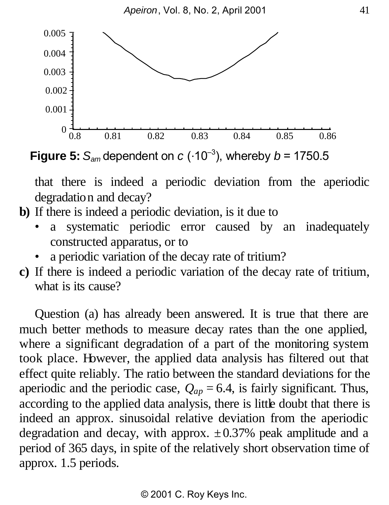

**Figure 5:**  $S_{am}$  dependent on  $c$  ( $\cdot 10^{-3}$ ), whereby  $b = 1750.5$ 

that there is indeed a periodic deviation from the aperiodic degradation and decay?

- **b)** If there is indeed a periodic deviation, is it due to
	- a systematic periodic error caused by an inadequately constructed apparatus, or to
	- a periodic variation of the decay rate of tritium?
- **c)** If there is indeed a periodic variation of the decay rate of tritium, what is its cause?

Question (a) has already been answered. It is true that there are much better methods to measure decay rates than the one applied, where a significant degradation of a part of the monitoring system took place. However, the applied data analysis has filtered out that effect quite reliably. The ratio between the standard deviations for the aperiodic and the periodic case,  $Q_{ap} = 6.4$ , is fairly significant. Thus, according to the applied data analysis, there is little doubt that there is indeed an approx. sinusoidal relative deviation from the aperiodic degradation and decay, with approx.  $\pm 0.37$ % peak amplitude and a period of 365 days, in spite of the relatively short observation time of approx. 1.5 periods.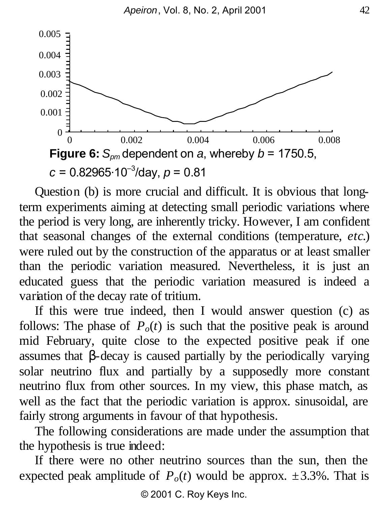

Question (b) is more crucial and difficult. It is obvious that longterm experiments aiming at detecting small periodic variations where the period is very long, are inherently tricky. However, I am confident that seasonal changes of the external conditions (temperature, *etc*.) were ruled out by the construction of the apparatus or at least smaller than the periodic variation measured. Nevertheless, it is just an educated guess that the periodic variation measured is indeed a variation of the decay rate of tritium.

If this were true indeed, then I would answer question (c) as follows: The phase of  $P_o(t)$  is such that the positive peak is around mid February, quite close to the expected positive peak if one assumes that *b*-decay is caused partially by the periodically varying solar neutrino flux and partially by a supposedly more constant neutrino flux from other sources. In my view, this phase match, as well as the fact that the periodic variation is approx. sinusoidal, are fairly strong arguments in favour of that hypothesis.

The following considerations are made under the assumption that the hypothesis is true indeed:

If there were no other neutrino sources than the sun, then the expected peak amplitude of  $P_o(t)$  would be approx.  $\pm 3.3\%$ . That is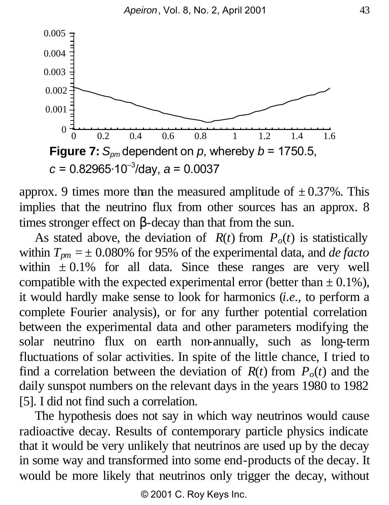

approx. 9 times more than the measured amplitude of  $\pm 0.37$ %. This implies that the neutrino flux from other sources has an approx. 8 times stronger effect on *b*-decay than that from the sun.

As stated above, the deviation of  $R(t)$  from  $P_0(t)$  is statistically within  $T_{pm} = \pm 0.080\%$  for 95% of the experimental data, and *de facto* within  $\pm 0.1\%$  for all data. Since these ranges are very well compatible with the expected experimental error (better than  $\pm$  0.1%), it would hardly make sense to look for harmonics (*i.e.,* to perform a complete Fourier analysis), or for any further potential correlation between the experimental data and other parameters modifying the solar neutrino flux on earth non-annually, such as long-term fluctuations of solar activities. In spite of the little chance, I tried to find a correlation between the deviation of  $R(t)$  from  $P_{o}(t)$  and the daily sunspot numbers on the relevant days in the years 1980 to 1982 [5]. I did not find such a correlation.

The hypothesis does not say in which way neutrinos would cause radioactive decay. Results of contemporary particle physics indicate that it would be very unlikely that neutrinos are used up by the decay in some way and transformed into some end-products of the decay. It would be more likely that neutrinos only trigger the decay, without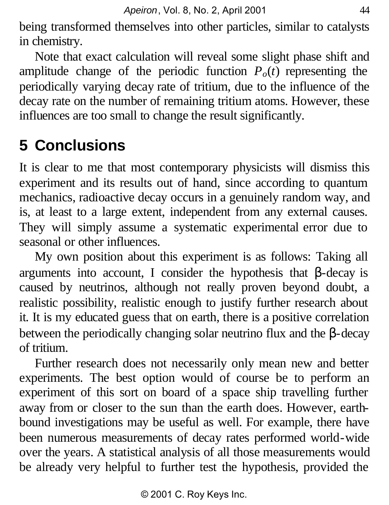being transformed themselves into other particles, similar to catalysts in chemistry.

Note that exact calculation will reveal some slight phase shift and amplitude change of the periodic function  $P_o(t)$  representing the periodically varying decay rate of tritium, due to the influence of the decay rate on the number of remaining tritium atoms. However, these influences are too small to change the result significantly.

# **5 Conclusions**

It is clear to me that most contemporary physicists will dismiss this experiment and its results out of hand, since according to quantum mechanics, radioactive decay occurs in a genuinely random way, and is, at least to a large extent, independent from any external causes. They will simply assume a systematic experimental error due to seasonal or other influences.

My own position about this experiment is as follows: Taking all arguments into account, I consider the hypothesis that *b*-decay is caused by neutrinos, although not really proven beyond doubt, a realistic possibility, realistic enough to justify further research about it. It is my educated guess that on earth, there is a positive correlation between the periodically changing solar neutrino flux and the β-decay of tritium.

Further research does not necessarily only mean new and better experiments. The best option would of course be to perform an experiment of this sort on board of a space ship travelling further away from or closer to the sun than the earth does. However, earthbound investigations may be useful as well. For example, there have been numerous measurements of decay rates performed world-wide over the years. A statistical analysis of all those measurements would be already very helpful to further test the hypothesis, provided the